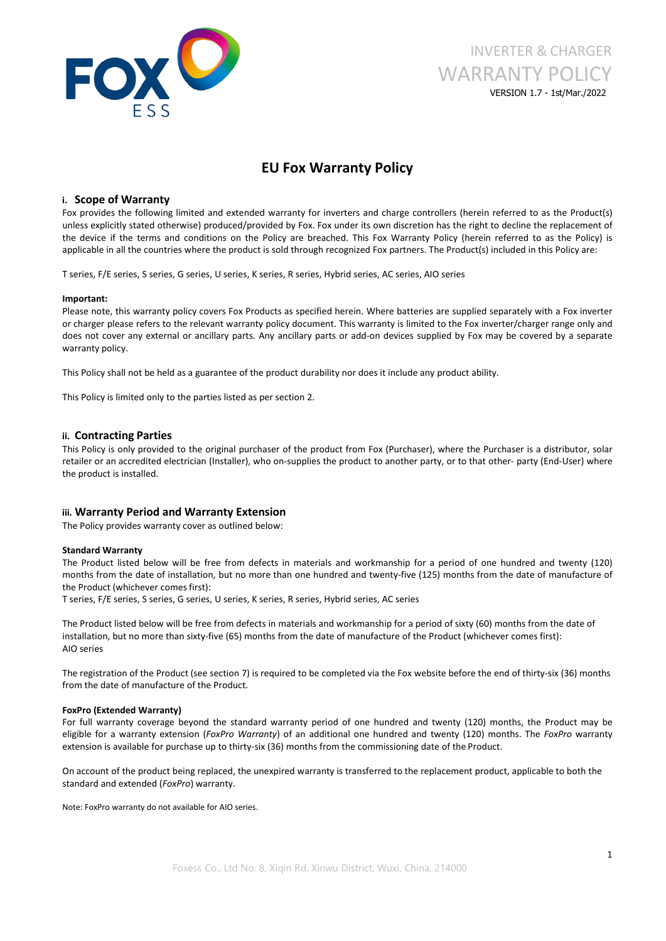

# INVERTER & CHARGER WARRANTY POLICY VERSION 1.7 - 1st/Mar./2022

# **EU Fox Warranty Policy**

# **i. Scope of Warranty**

Fox provides the following limited and extended warranty for inverters and charge controllers (herein referred to as the Product(s) unless explicitly stated otherwise) produced/provided by Fox. Fox under its own discretion has the right to decline the replacement of the device if the terms and conditions on the Policy are breached. This Fox Warranty Policy (herein referred to as the Policy) is applicable in all the countries where the product is sold through recognized Fox partners. The Product(s) included in this Policy are:

T series, F/E series, S series, G series, U series, K series, R series, Hybrid series, AC series, AIO series

#### **Important:**

Please note, this warranty policy covers Fox Products as specified herein. Where batteries are supplied separately with a Fox inverter or charger please refers to the relevant warranty policy document. This warranty is limited to the Fox inverter/charger range only and does not cover any external or ancillary parts. Any ancillary parts or add-on devices supplied by Fox may be covered by a separate warranty policy.

This Policy shall not be held as a guarantee of the product durability nor does it include any product ability.

This Policy is limited only to the parties listed as per section 2.

## **ii. Contracting Parties**

This Policy is only provided to the original purchaser of the product from Fox (Purchaser), where the Purchaser is a distributor, solar retailer or an accredited electrician (Installer), who on-supplies the product to another party, or to that other- party (End-User) where the product is installed.

## **iii. Warranty Period and Warranty Extension**

The Policy provides warranty cover as outlined below:

#### **Standard Warranty**

The Product listed below will be free from defects in materials and workmanship for a period of one hundred and twenty (120) months from the date of installation, but no more than one hundred and twenty-five (125) months from the date of manufacture of the Product (whichever comes first):<br>T series, F/E series, S series, G series, U series, K series, R series, Hybrid series, AC series

The Product listed below will be free from defects in materials and workmanship for a period of sixty (60) months from the date of installation, but no more than sixty-five (65) months from the date of manufacture of the Product (whichever comes first):<br>AIO series

The registration of the Product (see section 7) is required to be completed via the Fox website before the end of thirty-six (36) months from the date of manufacture of the Product.

#### **FoxPro (Extended Warranty)**

For full warranty coverage beyond the standard warranty period of one hundred and twenty (120) months, the Product may be eligible for a warranty extension (*FoxPro Warranty*) of an additional one hundred and twenty (120) months. The *FoxPro* warranty extension is available for purchase up to thirty-six (36) months from the commissioning date of the Product.

On account of the product being replaced, the unexpired warranty is transferred to the replacement product, applicable to both the standard and extended (*FoxPro*) warranty.

Note: FoxPro warranty do not available for AIO series.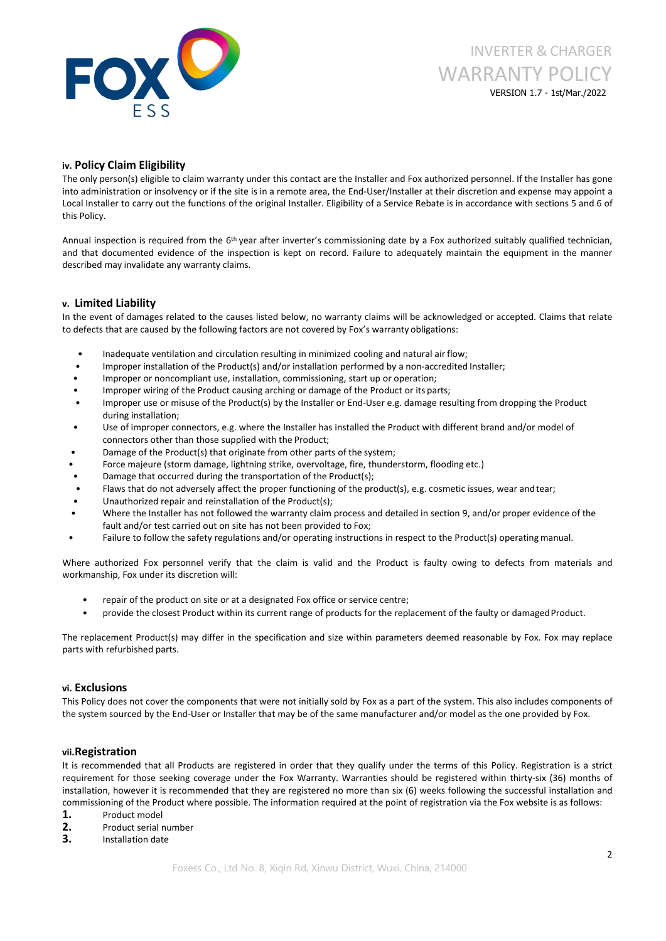

# INVERTER & CHARGER WARRANTY POLICY VERSION 1.7 - 1st/Mar./2022

# **iv. Policy Claim Eligibility**

The only person(s) eligible to claim warranty under this contact are the Installer and Fox authorized personnel. If the Installer has gone into administration or insolvency or if the site is in a remote area, the End-User/Installer at their discretion and expense may appoint a Local Installer to carry out the functions of the original Installer. Eligibility of a Service Rebate is in accordance with sections 5 and 6 of this Policy.

Annual inspection is required from the 6<sup>th</sup> year after inverter's commissioning date by a Fox authorized suitably qualified technician, and that documented evidence of the inspection is kept on record. Failure to adequately maintain the equipment in the manner described may invalidate any warranty claims.

# **v. Limited Liability**

In the event of damages related to the causes listed below, no warranty claims will be acknowledged or accepted. Claims that relate to defects that are caused by the following factors are not covered by Fox's warranty obligations:

- Inadequate ventilation and circulation resulting in minimized cooling and natural air flow;
- Improper installation of the Product(s) and/or installation performed by a non-accredited Installer;
- Improper or noncompliant use, installation, commissioning, start up or operation;
- Improper wiring of the Product causing arching or damage of the Product or its parts;
- Improper use or misuse of the Product(s) by the Installer or End-User e.g. damage resulting from dropping the Product during installation;
- Use of improper connectors, e.g. where the Installer has installed the Product with different brand and/or model of connectors other than those supplied with the Product;
- Damage of the Product(s) that originate from other parts of the system;
- Force majeure (storm damage, lightning strike, overvoltage, fire, thunderstorm, flooding etc.)
- Damage that occurred during the transportation of the Product(s);
- Flaws that do not adversely affect the proper functioning of the product(s), e.g. cosmetic issues, wear and tear;
- Unauthorized repair and reinstallation of the Product(s);
- Where the Installer has not followed the warranty claim process and detailed in section 9, and/or proper evidence of the fault and/or test carried out on site has not been provided to Fox;
- Failure to follow the safety regulations and/or operating instructions in respect to the Product(s) operating manual.

Where authorized Fox personnel verify that the claim is valid and the Product is faulty owing to defects from materials and workmanship, Fox under its discretion will:

- repair of the product on site or at a designated Fox office or service centre;
- provide the closest Product within its current range of products for the replacement of the faulty or damaged Product.

The replacement Product(s) may differ in the specification and size within parameters deemed reasonable by Fox. Fox may replace parts with refurbished parts.

## **vi. Exclusions**

This Policy does not cover the components that were not initially sold by Fox as a part of the system. This also includes components of the system sourced by the End-User or Installer that may be of the same manufacturer and/or model as the one provided by Fox.

## **vii.Registration**

It is recommended that all Products are registered in order that they qualify under the terms of this Policy. Registration is a strict requirement for those seeking coverage under the Fox Warranty. Warranties should be registered within thirty-six (36) months of installation, however it is recommended that they are registered no more than six (6) weeks following the successful installation and commissioning of the Product where possible. The information required at the point of registration via the Fox website is asfollows:

- 1. Product model<br>2. Product serial n
- **2.** Product serial number **3.** Installation date
-